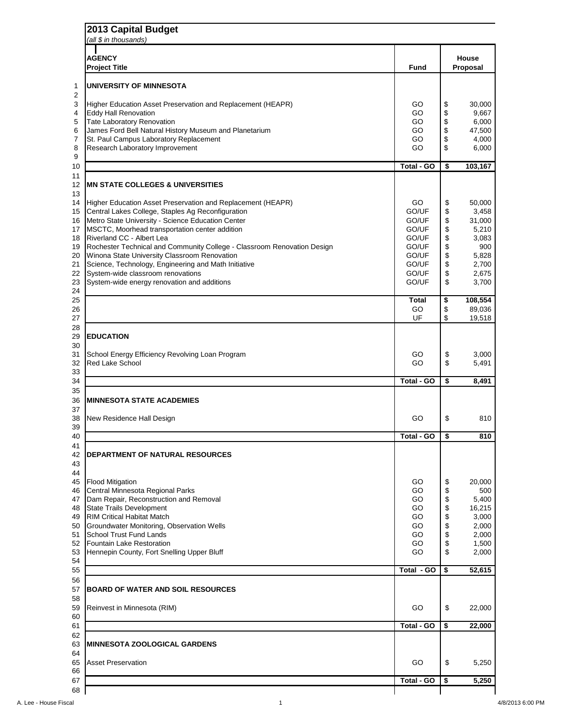## **2013 Capital Budget**  *(all \$ in thousands)* **AGENCY House Project Title Fund Proposal UNIVERSITY OF MINNESOTA** 3 Higher Education Asset Preservation and Replacement (HEAPR) GO | \$ 30,000 Eddy Hall Renovation GO \$ 9,667 5 Tate Laboratory Renovation<br>
6 James Ford Bell Natural History Museum and Planetarium<br>
6 James Ford Bell Natural History Museum and Planetarium James Ford Bell Natural History Museum and Planetarium GO \$ 47,500 7 St. Paul Campus Laboratory Replacement Communication Communication Communication Communication Communication Communication Communication Communication Communication Communication Communication Communication Communication 8 Research Laboratory Improvement 6.000 and 5 and 6.000 cm set of the GO  $\parallel$  6.000 cm s 6,000 cm s 6,000 cm s 6,000 cm s 6,000 cm s 6.000 cm s 6.000 cm s 6.000 cm s 6.000 cm s 6.000 cm s 6.000 cm s 6.000 cm s 6.000 cm s 6 **Total - GO \$ 103,167 MN STATE COLLEGES & UNIVERSITIES** 14 Higher Education Asset Preservation and Replacement (HEAPR) GO | \$ 50,000 15 Central Lakes College, Staples Ag Reconfiguration **GO/UF**  $\begin{array}{|c|c|c|} \hline \end{array}$  GO/UF  $\begin{array}{|c|c|c|} \hline \end{array}$  3,458 16 Metro State University - Science Education Center Governor Communication Center Communication Center GO/UF  $\frac{1}{3}$  31,000 17 MSCTC, Moorhead transportation center addition GO/UF | \$ 5,210 18 Riverland CC - Albert Lea Golden Number 2012 18 Solution 18 Solution 18 Solution 18 Solution 18 Solution 3,083 19 Rochester Technical and Community College - Classroom Renovation Design Texas | GO/UF | \$ 900 20 Winona State University Classroom Renovation Communication Contract Communication Contract 1 GO/UF 3 5,828 21 Science, Technology, Engineering and Math Initiative **GO/UF** | \$ 2,700 22 System-wide classroom renovations example and the contract of the CO/UF state of the 2,675 23 System-wide energy renovation and additions example and the state of the state of the state of the state of the state of the state of the state of the state of the state of the state of the state of the state of the sta **Total \$ 108,554** 26 GO  $\parallel$  \$ 89,036 27 UF \$ 19,518 **EDUCATION** 31 School Energy Efficiency Revolving Loan Program Governor Communication of the Superior Communication of the Superior Communication of the Superior Communication of the Superior Communication of the Superior Communicatio 32 Red Lake School 6 5,491 **Total - GO \$ 8,491 MINNESOTA STATE ACADEMIES** 38 New Residence Hall Design GO  $\parallel$  SO  $\parallel$  \$ 810 **Total - GO \$ 810 DEPARTMENT OF NATURAL RESOURCES** 45 Flood Mitigation 6 20,000 COM 3 20,000 COM 3 20,000 46 Central Minnesota Regional Parks Go  $\vert$  \$ 500 47 Dam Repair, Reconstruction and Removal<br>
48 State Trails Development<br>
49 RIM Critical Habitat Match<br>
49 RIM Critical Habitat Match 48 State Trails Development Communication Communication Communication Communication Communication Communication Communication Communication Communication Communication Communication Communication Communication Communicatio 49 RIM Critical Habitat Match 3,000 Groundwater Monitoring, Observation Wells GO \$ 2,000

| 51 | <b>School Trust Fund Lands</b>             | GO                | \$                         | 2,000  |
|----|--------------------------------------------|-------------------|----------------------------|--------|
| 52 | <b>Fountain Lake Restoration</b>           | GO                | \$                         | 1,500  |
| 53 | Hennepin County, Fort Snelling Upper Bluff | GO                | \$                         | 2,000  |
| 54 |                                            |                   |                            |        |
| 55 |                                            | Total - GO        | \$                         | 52,615 |
| 56 |                                            |                   |                            |        |
| 57 | <b>BOARD OF WATER AND SOIL RESOURCES</b>   |                   |                            |        |
| 58 |                                            |                   |                            |        |
| 59 | Reinvest in Minnesota (RIM)                | GO                | $\boldsymbol{\mathsf{\$}}$ | 22,000 |
| 60 |                                            |                   |                            |        |
|    |                                            |                   |                            |        |
| 61 |                                            | <b>Total - GO</b> | \$                         | 22,000 |
| 62 |                                            |                   |                            |        |
| 63 | <b>MINNESOTA ZOOLOGICAL GARDENS</b>        |                   |                            |        |
| 64 |                                            |                   |                            |        |
| 65 | <b>Asset Preservation</b>                  | GO                | $\boldsymbol{\theta}$      | 5,250  |
| 66 |                                            |                   |                            |        |
| 67 |                                            | <b>Total - GO</b> | \$                         | 5,250  |

A. Lee - House Fiscal 20013 6:00 PM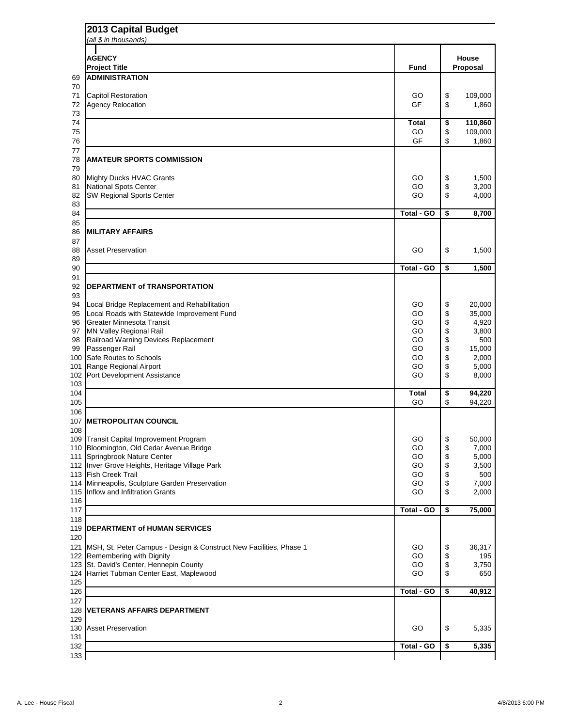|            | <b>2013 Capital Budget</b><br>(all $$$ in thousands)                             |                    |          |                                 |  |
|------------|----------------------------------------------------------------------------------|--------------------|----------|---------------------------------|--|
|            | <b>AGENCY</b><br><b>Project Title</b>                                            | <b>Fund</b>        |          | <b>House</b><br><b>Proposal</b> |  |
| 69         | <b>ADMINISTRATION</b>                                                            |                    |          |                                 |  |
| 70         |                                                                                  |                    |          |                                 |  |
| 71         | <b>Capitol Restoration</b>                                                       | GO                 | \$       | 109,000                         |  |
| 72<br>73   | Agency Relocation                                                                | <b>GF</b>          | \$       | 1,860                           |  |
| 74         |                                                                                  | <b>Total</b>       | \$       | 110,860                         |  |
| 75         |                                                                                  | GO                 | \$       | 109,000                         |  |
| 76<br>77   |                                                                                  | <b>GF</b>          | \$       | 1,860                           |  |
| 78         | <b>AMATEUR SPORTS COMMISSION</b>                                                 |                    |          |                                 |  |
| 79         |                                                                                  |                    |          |                                 |  |
| 80<br>81   | <b>Mighty Ducks HVAC Grants</b>                                                  | GO<br>GO           | \$       | 1,500                           |  |
| 82         | <b>National Spots Center</b><br><b>SW Regional Sports Center</b>                 | GO                 | \$<br>\$ | 3,200<br>4,000                  |  |
| 83         |                                                                                  |                    |          |                                 |  |
| 84         |                                                                                  | Total - GO         | \$       | 8,700                           |  |
| 85<br>86   | <b>MILITARY AFFAIRS</b>                                                          |                    |          |                                 |  |
| 87         |                                                                                  |                    |          |                                 |  |
| 88         | <b>Asset Preservation</b>                                                        | GO                 | \$       | 1,500                           |  |
| 89         |                                                                                  |                    |          |                                 |  |
| 90<br>91   |                                                                                  | <b>Total - GO</b>  | \$       | 1,500                           |  |
| 92         | <b>DEPARTMENT of TRANSPORTATION</b>                                              |                    |          |                                 |  |
| 93         |                                                                                  |                    |          |                                 |  |
| 94         | Local Bridge Replacement and Rehabilitation                                      | GO                 | \$       | 20,000                          |  |
| 95<br>96   | Local Roads with Statewide Improvement Fund<br><b>Greater Minnesota Transit</b>  | GO<br>GO           | \$<br>\$ | 35,000<br>4,920                 |  |
| 97         | <b>MN Valley Regional Rail</b>                                                   | GO                 | \$       | 3,800                           |  |
| 98         | <b>Railroad Warning Devices Replacement</b>                                      | GO                 | \$       | 500                             |  |
| 99         | Passenger Rail                                                                   | GO                 | \$       | 15,000                          |  |
| 101        | 100 Safe Routes to Schools<br>Range Regional Airport                             | GO<br>GO           | \$<br>\$ | 2,000<br>5,000                  |  |
| 102        | Port Development Assistance                                                      | GO                 | \$       | 8,000                           |  |
| 103        |                                                                                  |                    |          |                                 |  |
| 104<br>105 |                                                                                  | <b>Total</b><br>GO | \$       | 94,220                          |  |
| 106        |                                                                                  |                    | \$       | 94,220                          |  |
| 107        | <b>IMETROPOLITAN COUNCIL</b>                                                     |                    |          |                                 |  |
| 108        |                                                                                  |                    |          |                                 |  |
| 109<br>110 | <b>Transit Capital Improvement Program</b>                                       | GO<br>GO           | \$       | 50,000                          |  |
| 111        | Bloomington, Old Cedar Avenue Bridge<br>Springbrook Nature Center                | GO                 | \$<br>\$ | 7,000<br>5,000                  |  |
|            | 112 Inver Grove Heights, Heritage Village Park                                   | GO                 | \$       | 3,500                           |  |
|            | 113 Fish Creek Trail                                                             | GO                 | \$       | 500                             |  |
| 114        | Minneapolis, Sculpture Garden Preservation<br>115 Inflow and Infiltration Grants | GO<br>GO           | \$<br>\$ | 7,000<br>2,000                  |  |
| 116        |                                                                                  |                    |          |                                 |  |
| 117        |                                                                                  | <b>Total - GO</b>  | \$       | 75,000                          |  |
| 118        |                                                                                  |                    |          |                                 |  |
| 119<br>120 | <b>DEPARTMENT of HUMAN SERVICES</b>                                              |                    |          |                                 |  |
| 121        | <b>IMSH, St. Peter Campus - Design &amp; Construct New Facilities, Phase 1</b>   | GO                 | \$       | 36,317                          |  |
|            | 122 Remembering with Dignity                                                     | GO                 | \$       | 195                             |  |
|            | 123 St. David's Center, Hennepin County                                          | GO                 | \$       | 3,750                           |  |
| 125        | 124 Harriet Tubman Center East, Maplewood                                        | GO                 | \$       | 650                             |  |
| 126        |                                                                                  | <b>Total - GO</b>  | \$       | 40,912                          |  |
| 127        |                                                                                  |                    |          |                                 |  |
| 128        | <b>VETERANS AFFAIRS DEPARTMENT</b>                                               |                    |          |                                 |  |
| 129        | 130 Asset Preservation                                                           | GO                 |          |                                 |  |
| 131        |                                                                                  |                    | \$       | 5,335                           |  |
| 132        |                                                                                  | <b>Total - GO</b>  | \$       | 5,335                           |  |
| 133        |                                                                                  |                    |          |                                 |  |